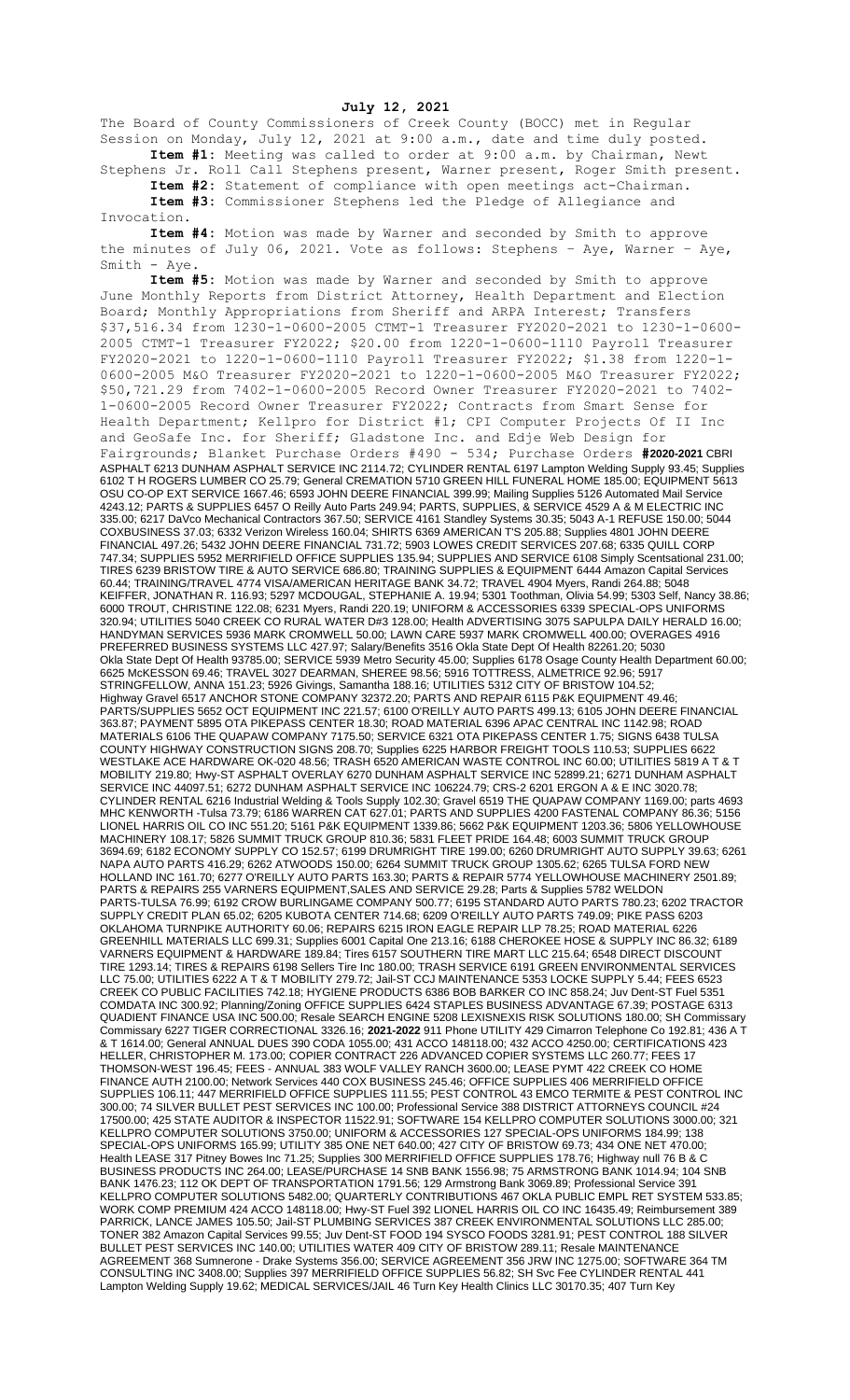**July 12, 2021**

The Board of County Commissioners of Creek County (BOCC) met in Regular Session on Monday, July 12, 2021 at 9:00 a.m., date and time duly posted. **Item #1:** Meeting was called to order at 9:00 a.m. by Chairman, Newt

Stephens Jr. Roll Call Stephens present, Warner present, Roger Smith present. **Item #2:** Statement of compliance with open meetings act-Chairman.

**Item #3:** Commissioner Stephens led the Pledge of Allegiance and Invocation.

**Item #4:** Motion was made by Warner and seconded by Smith to approve the minutes of July 06, 2021. Vote as follows: Stephens – Aye, Warner – Aye, Smith - Aye.

**Item #5:** Motion was made by Warner and seconded by Smith to approve June Monthly Reports from District Attorney, Health Department and Election Board; Monthly Appropriations from Sheriff and ARPA Interest; Transfers \$37,516.34 from 1230-1-0600-2005 CTMT-1 Treasurer FY2020-2021 to 1230-1-0600- 2005 CTMT-1 Treasurer FY2022; \$20.00 from 1220-1-0600-1110 Payroll Treasurer FY2020-2021 to 1220-1-0600-1110 Payroll Treasurer FY2022; \$1.38 from 1220-1- 0600-2005 M&O Treasurer FY2020-2021 to 1220-1-0600-2005 M&O Treasurer FY2022; \$50,721.29 from 7402-1-0600-2005 Record Owner Treasurer FY2020-2021 to 7402- 1-0600-2005 Record Owner Treasurer FY2022; Contracts from Smart Sense for Health Department; Kellpro for District #1; CPI Computer Projects Of II Inc and GeoSafe Inc. for Sheriff; Gladstone Inc. and Edje Web Design for Fairgrounds; Blanket Purchase Orders #490 - 534; Purchase Orders **#2020-2021** CBRI ASPHALT 6213 DUNHAM ASPHALT SERVICE INC 2114.72; CYLINDER RENTAL 6197 Lampton Welding Supply 93.45; Supplies<br>6102 T H ROGERS LUMBER CO 25.79; General CREMATION 5710 GREEN HILL FUNERAL HOME 185.00; EQUIPMENT 5613 6102 T H ROGERS LUMBER CO 25.79; General CREMATION 5710 GREEN HILL FUNERAL HOME 185.00; EQUIPMENT 5613 OSU CO-OP EXT SERVICE 1667.46; 6593 JOHN DEERE FINANCIAL 399.99; Mailing Supplies 5126 Automated Mail Service 4243.12; PARTS & SUPPLIES 6457 O Reilly Auto Parts 249.94; PARTS, SUPPLIES, & SERVICE 4529 A & M ELECTRIC INC 335.00; 6217 DaVco Mechanical Contractors 367.50; SERVICE 4161 Standley Systems 30.35; 5043 A-1 REFUSE 150.00; 5044 COXBUSINESS 37.03; 6332 Verizon Wireless 160.04; SHIRTS 6369 AMERICAN T'S 205.88; Supplies 4801 JOHN DEERE FINANCIAL 497.26; 5432 JOHN DEERE FINANCIAL 731.72; 5903 LOWES CREDIT SERVICES 207.68; 6335 QUILL CORP 747.34; SUPPLIES 5952 MERRIFIELD OFFICE SUPPLIES 135.94; SUPPLIES AND SERVICE 6108 Simply Scentsational 231.00; TIRES 6239 BRISTOW TIRE & AUTO SERVICE 686.80; TRAINING SUPPLIES & EQUIPMENT 6444 Amazon Capital Services 60.44; TRAINING/TRAVEL 4774 VISA/AMERICAN HERITAGE BANK 34.72; TRAVEL 4904 Myers, Randi 264.88; 5048 KEIFFER, JONATHAN R. 116.93; 5297 MCDOUGAL, STEPHANIE A. 19.94; 5301 Toothman, Olivia 54.99; 5303 Self, Nancy 38.86; 6000 TROUT, CHRISTINE 122.08; 6231 Myers, Randi 220.19; UNIFORM & ACCESSORIES 6339 SPECIAL-OPS UNIFORMS 320.94; UTILITIES 5040 CREEK CO RURAL WATER D#3 128.00; Health ADVERTISING 3075 SAPULPA DAILY HERALD 16.00; HANDYMAN SERVICES 5936 MARK CROMWELL 50.00; LAWN CARE 5937 MARK CROMWELL 400.00; OVERAGES 4916 PREFERRED BUSINESS SYSTEMS LLC 427.97; Salary/Benefits 3516 Okla State Dept Of Health 82261.20; 5030 Okla State Dept Of Health 93785.00; SERVICE 5939 Metro Security 45.00; Supplies 6178 Osage County Health Department 60.00; 6625 McKESSON 69.46; TRAVEL 3027 DEARMAN, SHEREE 98.56; 5916 TOTTRESS, ALMETRICE 92.96; 5917 STRINGFELLOW, ANNA 151.23; 5926 Givings, Samantha 188.16; UTILITIES 5312 CITY OF BRISTOW 104.52; Highway Gravel 6517 ANCHOR STONE COMPANY 32372.20; PARTS AND REPAIR 6115 P&K EQUIPMENT 49.46; PARTS/SUPPLIES 5652 OCT EQUIPMENT INC 221.57; 6100 O'REILLY AUTO PARTS 499.13; 6105 JOHN DEERE FINANCIAL 363.87; PAYMENT 5895 OTA PIKEPASS CENTER 18.30; ROAD MATERIAL 6396 APAC CENTRAL INC 1142.98; ROAD MATERIALS 6106 THE QUAPAW COMPANY 7175.50; SERVICE 6321 OTA PIKEPASS CENTER 1.75; SIGNS 6438 TULSA COUNTY HIGHWAY CONSTRUCTION SIGNS 208.70; Supplies 6225 HARBOR FREIGHT TOOLS 110.53; SUPPLIES 6622 WESTLAKE ACE HARDWARE OK-020 48.56; TRASH 6520 AMERICAN WASTE CONTROL INC 60.00; UTILITIES 5819 A T & T MOBILITY 219.80; Hwy-ST ASPHALT OVERLAY 6270 DUNHAM ASPHALT SERVICE INC 52899.21; 6271 DUNHAM ASPHALT SERVICE INC 44097.51; 6272 DUNHAM ASPHALT SERVICE INC 106224.79; CRS-2 6201 ERGON A & E INC 3020.78; CYLINDER RENTAL 6216 Industrial Welding & Tools Supply 102.30; Gravel 6519 THE QUAPAW COMPANY 1169.00; parts 4693 MHC KENWORTH -Tulsa 73.79; 6186 WARREN CAT 627.01; PARTS AND SUPPLIES 4200 FASTENAL COMPANY 86.36; 5156 LIONEL HARRIS OIL CO INC 551.20; 5161 P&K EQUIPMENT 1339.86; 5662 P&K EQUIPMENT 1203.36; 5806 YELLOWHOUSE MACHINERY 108.17; 5826 SUMMIT TRUCK GROUP 810.36; 5831 FLEET PRIDE 164.48; 6003 SUMMIT TRUCK GROUP 3694.69; 6182 ECONOMY SUPPLY CO 152.57; 6199 DRUMRIGHT TIRE 199.00; 6260 DRUMRIGHT AUTO SUPPLY 39.63; 6261 NAPA AUTO PARTS 416.29; 6262 ATWOODS 150.00; 6264 SUMMIT TRUCK GROUP 1305.62; 6265 TULSA FORD NEW HOLLAND INC 161.70; 6277 O'REILLY AUTO PARTS 163.30; PARTS & REPAIR 5774 YELLOWHOUSE MACHINERY 2501.89; PARTS & REPAIRS 255 VARNERS EQUIPMENT,SALES AND SERVICE 29.28; Parts & Supplies 5782 WELDON PARTS-TULSA 76.99; 6192 CROW BURLINGAME COMPANY 500.77; 6195 STANDARD AUTO PARTS 780.23; 6202 TRACTOR SUPPLY CREDIT PLAN 65.02; 6205 KUBOTA CENTER 714.68; 6209 O'REILLY AUTO PARTS 749.09; PIKE PASS 6203 OKLAHOMA TURNPIKE AUTHORITY 60.06; REPAIRS 6215 IRON EAGLE REPAIR LLP 78.25; ROAD MATERIAL 6226 GREENHILL MATERIALS LLC 699.31; Supplies 6001 Capital One 213.16; 6188 CHEROKEE HOSE & SUPPLY INC 86.32; 6189 VARNERS EQUIPMENT & HARDWARE 189.84; Tires 6157 SOUTHERN TIRE MART LLC 215.64; 6548 DIRECT DISCOUNT TIRE 1293.14; TIRES & REPAIRS 6198 Sellers Tire Inc 180.00; TRASH SERVICE 6191 GREEN ENVIRONMENTAL SERVICES LLC 75.00; UTILITIES 6222 A T & T MOBILITY 279.72; Jail-ST CCJ MAINTENANCE 5353 LOCKE SUPPLY 5.44; FEES 6523 CREEK CO PUBLIC FACILITIES 742.18; HYGIENE PRODUCTS 6386 BOB BARKER CO INC 858.24; Juv Dent-ST Fuel 5351 COMDATA INC 300.92; Planning/Zoning OFFICE SUPPLIES 6424 STAPLES BUSINESS ADVANTAGE 67.39; POSTAGE 6313 QUADIENT FINANCE USA INC 500.00; Resale SEARCH ENGINE 5208 LEXISNEXIS RISK SOLUTIONS 180.00; SH Commissary Commissary 6227 TIGER CORRECTIONAL 3326.16; **2021-2022** 911 Phone UTILITY 429 Cimarron Telephone Co 192.81; 436 A T & T 1614.00; General ANNUAL DUES 390 CODA 1055.00; 431 ACCO 148118.00; 432 ACCO 4250.00; CERTIFICATIONS 423 HELLER, CHRISTOPHER M. 173.00; COPIER CONTRACT 226 ADVANCED COPIER SYSTEMS LLC 260.77; FEES 17 THOMSON-WEST 196.45; FEES - ANNUAL 383 WOLF VALLEY RANCH 3600.00; LEASE PYMT 422 CREEK CO HOME FINANCE AUTH 2100.00; Network Services 440 COX BUSINESS 245.46; OFFICE SUPPLIES 406 MERRIFIELD OFFICE SUPPLIES 106.11; 447 MERRIFIELD OFFICE SUPPLIES 111.55; PEST CONTROL 43 EMCO TERMITE & PEST CONTROL INC 300.00; 74 SILVER BULLET PEST SERVICES INC 100.00; Professional Service 388 DISTRICT ATTORNEYS COUNCIL #24 17500.00; 425 STATE AUDITOR & INSPECTOR 11522.91; SOFTWARE 154 KELLPRO COMPUTER SOLUTIONS 3000.00; 321 KELLPRO COMPUTER SOLUTIONS 3750.00; UNIFORM & ACCESSORIES 127 SPECIAL-OPS UNIFORMS 184.99; 138 SPECIAL-OPS UNIFORMS 165.99; UTILITY 385 ONE NET 640.00; 427 CITY OF BRISTOW 69.73; 434 ONE NET 470.00; Health LEASE 317 Pitney Bowes Inc 71.25; Supplies 300 MERRIFIELD OFFICE SUPPLIES 178.76; Highway null 76 B & C BUSINESS PRODUCTS INC 264.00; LEASE/PURCHASE 14 SNB BANK 1556.98; 75 ARMSTRONG BANK 1014.94; 104 SNB BANK 1476.23; 112 OK DEPT OF TRANSPORTATION 1791.56; 129 Armstrong Bank 3069.89; Professional Service 391 KELLPRO COMPUTER SOLUTIONS 5482.00; QUARTERLY CONTRIBUTIONS 467 OKLA PUBLIC EMPL RET SYSTEM 533.85; WORK COMP PREMIUM 424 ACCO 148118.00; Hwy-ST Fuel 392 LIONEL HARRIS OIL CO INC 16435.49; Reimbursement 389 PARRICK, LANCE JAMES 105.50; Jail-ST PLUMBING SERVICES 387 CREEK ENVIRONMENTAL SOLUTIONS LLC 285.00; TONER 382 Amazon Capital Services 99.55; Juv Dent-ST FOOD 194 SYSCO FOODS 3281.91; PEST CONTROL 188 SILVER BULLET PEST SERVICES INC 140.00; UTILITIES WATER 409 CITY OF BRISTOW 289.11; Resale MAINTENANCE AGREEMENT 368 Sumnerone - Drake Systems 356.00; SERVICE AGREEMENT 356 JRW INC 1275.00; SOFTWARE 364 TM CONSULTING INC 3408.00; Supplies 397 MERRIFIELD OFFICE SUPPLIES 56.82; SH Svc Fee CYLINDER RENTAL 441 Lampton Welding Supply 19.62; MEDICAL SERVICES/JAIL 46 Turn Key Health Clinics LLC 30170.35; 407 Turn Key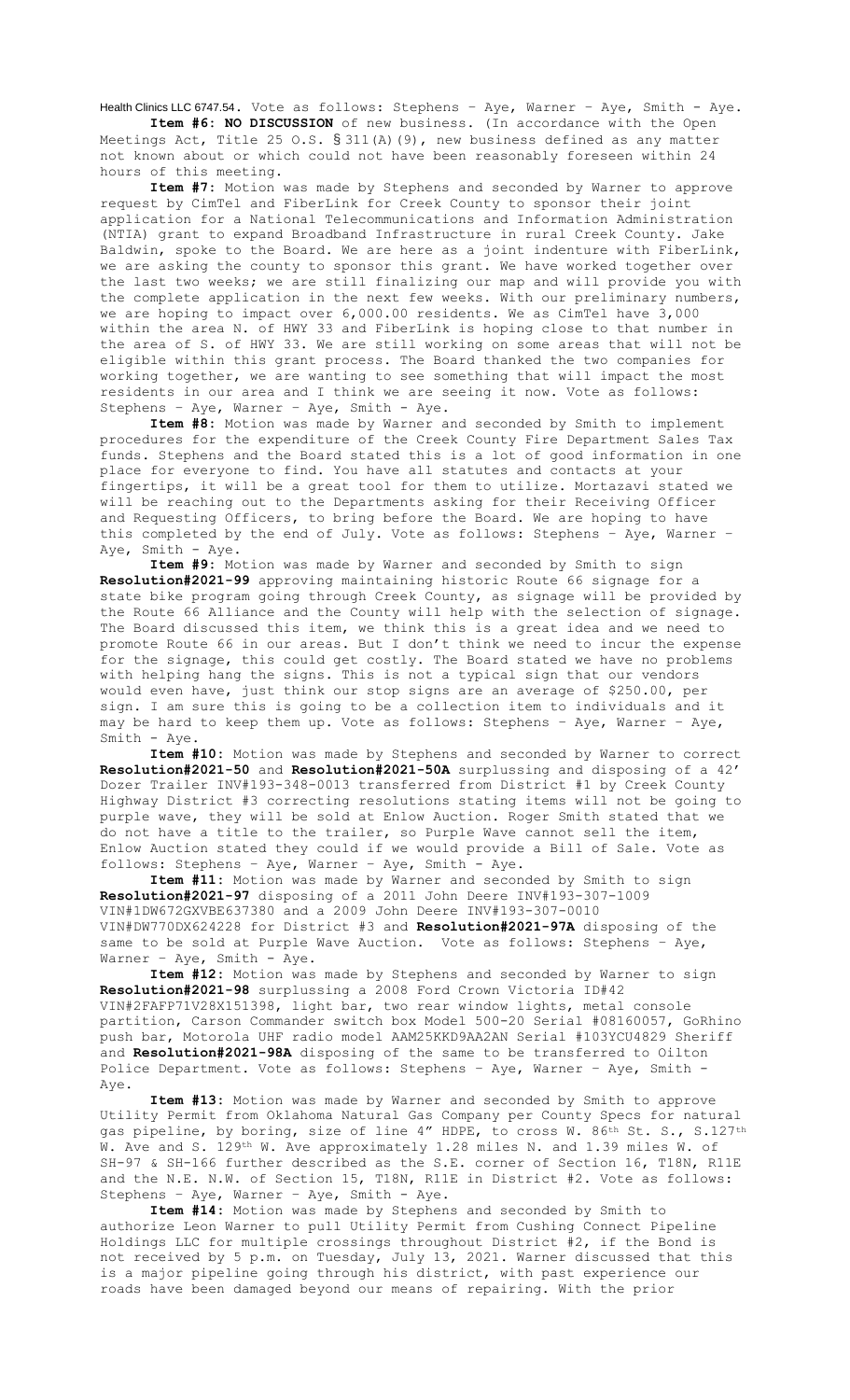Health Clinics LLC 6747.54. Vote as follows: Stephens - Aye, Warner - Aye, Smith - Aye. **Item #6: NO DISCUSSION** of new business. (In accordance with the Open

Meetings Act, Title 25 O.S. § 311(A)(9), new business defined as any matter not known about or which could not have been reasonably foreseen within 24 hours of this meeting.

**Item #7:** Motion was made by Stephens and seconded by Warner to approve request by CimTel and FiberLink for Creek County to sponsor their joint application for a National Telecommunications and Information Administration (NTIA) grant to expand Broadband Infrastructure in rural Creek County. Jake Baldwin, spoke to the Board. We are here as a joint indenture with FiberLink, we are asking the county to sponsor this grant. We have worked together over the last two weeks; we are still finalizing our map and will provide you with the complete application in the next few weeks. With our preliminary numbers, we are hoping to impact over 6,000.00 residents. We as CimTel have 3,000 within the area N. of HWY 33 and FiberLink is hoping close to that number in the area of S. of HWY 33. We are still working on some areas that will not be eligible within this grant process. The Board thanked the two companies for working together, we are wanting to see something that will impact the most residents in our area and I think we are seeing it now. Vote as follows: Stephens – Aye, Warner – Aye, Smith - Aye.

**Item #8:** Motion was made by Warner and seconded by Smith to implement procedures for the expenditure of the Creek County Fire Department Sales Tax funds. Stephens and the Board stated this is a lot of good information in one place for everyone to find. You have all statutes and contacts at your fingertips, it will be a great tool for them to utilize. Mortazavi stated we will be reaching out to the Departments asking for their Receiving Officer and Requesting Officers, to bring before the Board. We are hoping to have this completed by the end of July. Vote as follows: Stephens – Aye, Warner – Aye, Smith - Aye.

**Item #9:** Motion was made by Warner and seconded by Smith to sign **Resolution#2021-99** approving maintaining historic Route 66 signage for a state bike program going through Creek County, as signage will be provided by the Route 66 Alliance and the County will help with the selection of signage. The Board discussed this item, we think this is a great idea and we need to promote Route 66 in our areas. But I don't think we need to incur the expense for the signage, this could get costly. The Board stated we have no problems with helping hang the signs. This is not a typical sign that our vendors would even have, just think our stop signs are an average of \$250.00, per sign. I am sure this is going to be a collection item to individuals and it may be hard to keep them up. Vote as follows: Stephens – Aye, Warner – Aye, Smith - Aye.

**Item #10:** Motion was made by Stephens and seconded by Warner to correct **Resolution#2021-50** and **Resolution#2021-50A** surplussing and disposing of a 42' Dozer Trailer INV#193-348-0013 transferred from District #1 by Creek County Highway District #3 correcting resolutions stating items will not be going to purple wave, they will be sold at Enlow Auction. Roger Smith stated that we do not have a title to the trailer, so Purple Wave cannot sell the item, Enlow Auction stated they could if we would provide a Bill of Sale. Vote as follows: Stephens – Aye, Warner – Aye, Smith - Aye.

**Item #11:** Motion was made by Warner and seconded by Smith to sign **Resolution#2021-97** disposing of a 2011 John Deere INV#193-307-1009 VIN#1DW672GXVBE637380 and a 2009 John Deere INV#193-307-0010 VIN#DW770DX624228 for District #3 and **Resolution#2021-97A** disposing of the same to be sold at Purple Wave Auction. Vote as follows: Stephens – Aye, Warner – Aye, Smith - Aye.

**Item #12:** Motion was made by Stephens and seconded by Warner to sign **Resolution#2021-98** surplussing a 2008 Ford Crown Victoria ID#42 VIN#2FAFP71V28X151398, light bar, two rear window lights, metal console partition, Carson Commander switch box Model 500-20 Serial #08160057, GoRhino push bar, Motorola UHF radio model AAM25KKD9AA2AN Serial #103YCU4829 Sheriff and **Resolution#2021-98A** disposing of the same to be transferred to Oilton Police Department. Vote as follows: Stephens – Aye, Warner – Aye, Smith - Aye.

**Item #13:** Motion was made by Warner and seconded by Smith to approve Utility Permit from Oklahoma Natural Gas Company per County Specs for natural gas pipeline, by boring, size of line 4" HDPE, to cross W. 86th St. S., S.127th W. Ave and S. 129<sup>th</sup> W. Ave approximately 1.28 miles N. and 1.39 miles W. of SH-97 & SH-166 further described as the S.E. corner of Section 16, T18N, R11E and the N.E. N.W. of Section 15, T18N, R11E in District #2. Vote as follows: Stephens – Aye, Warner – Aye, Smith - Aye.

**Item #14:** Motion was made by Stephens and seconded by Smith to authorize Leon Warner to pull Utility Permit from Cushing Connect Pipeline Holdings LLC for multiple crossings throughout District #2, if the Bond is not received by 5 p.m. on Tuesday, July 13, 2021. Warner discussed that this is a major pipeline going through his district, with past experience our roads have been damaged beyond our means of repairing. With the prior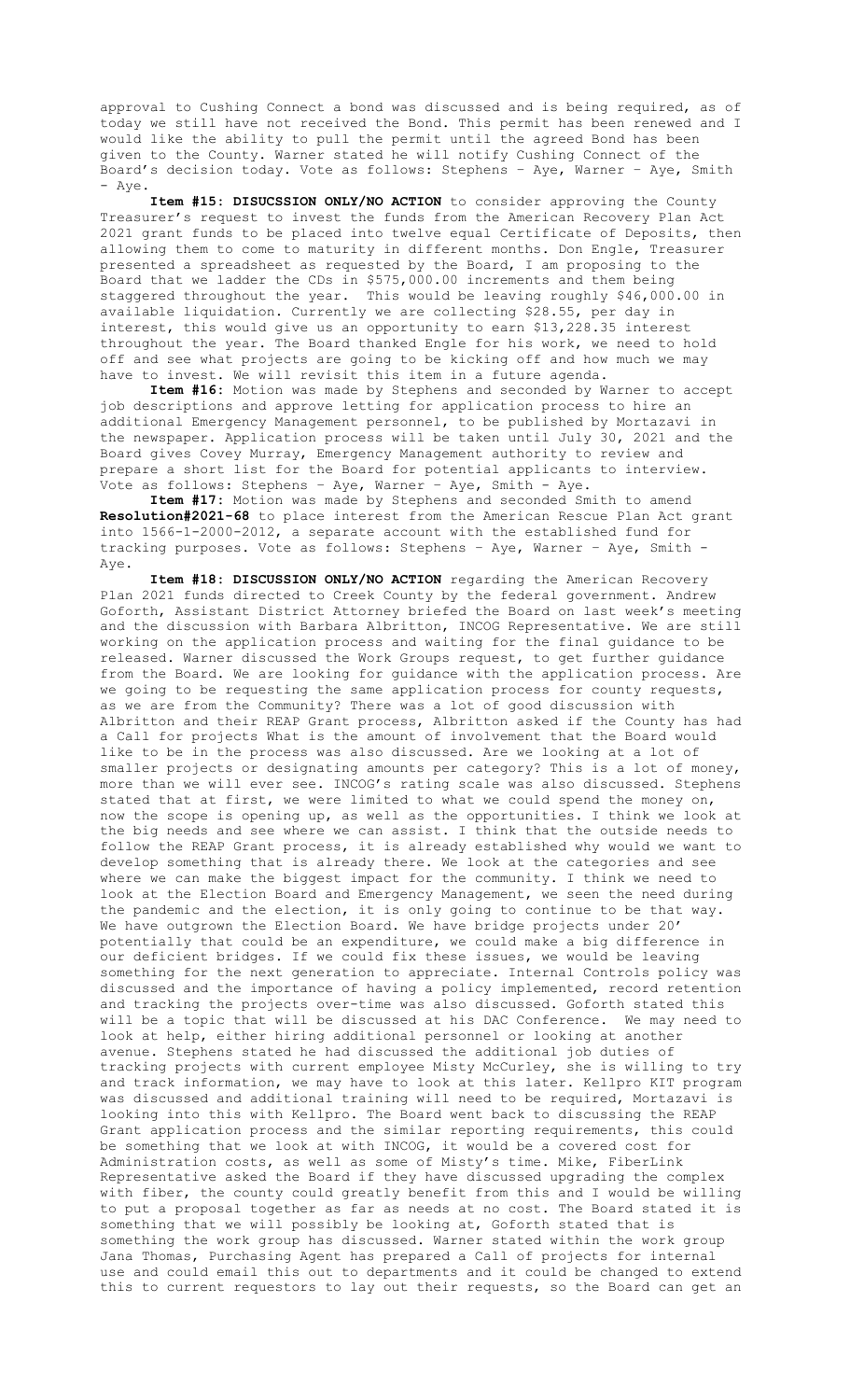approval to Cushing Connect a bond was discussed and is being required, as of today we still have not received the Bond. This permit has been renewed and I would like the ability to pull the permit until the agreed Bond has been given to the County. Warner stated he will notify Cushing Connect of the Board's decision today. Vote as follows: Stephens – Aye, Warner – Aye, Smith - Aye.

**Item #15: DISUCSSION ONLY/NO ACTION** to consider approving the County Treasurer's request to invest the funds from the American Recovery Plan Act 2021 grant funds to be placed into twelve equal Certificate of Deposits, then allowing them to come to maturity in different months. Don Engle, Treasurer presented a spreadsheet as requested by the Board, I am proposing to the Board that we ladder the CDs in \$575,000.00 increments and them being staggered throughout the year. This would be leaving roughly \$46,000.00 in available liquidation. Currently we are collecting \$28.55, per day in interest, this would give us an opportunity to earn \$13,228.35 interest throughout the year. The Board thanked Engle for his work, we need to hold off and see what projects are going to be kicking off and how much we may have to invest. We will revisit this item in a future agenda.

**Item #16:** Motion was made by Stephens and seconded by Warner to accept job descriptions and approve letting for application process to hire an additional Emergency Management personnel, to be published by Mortazavi in the newspaper. Application process will be taken until July 30, 2021 and the Board gives Covey Murray, Emergency Management authority to review and prepare a short list for the Board for potential applicants to interview. Vote as follows: Stephens - Aye, Warner - Aye, Smith - Aye.

**Item #17:** Motion was made by Stephens and seconded Smith to amend **Resolution#2021-68** to place interest from the American Rescue Plan Act grant into 1566-1-2000-2012, a separate account with the established fund for tracking purposes. Vote as follows: Stephens – Aye, Warner – Aye, Smith - Aye.

**Item #18: DISCUSSION ONLY/NO ACTION** regarding the American Recovery Plan 2021 funds directed to Creek County by the federal government. Andrew Goforth, Assistant District Attorney briefed the Board on last week's meeting and the discussion with Barbara Albritton, INCOG Representative. We are still working on the application process and waiting for the final guidance to be released. Warner discussed the Work Groups request, to get further guidance from the Board. We are looking for guidance with the application process. Are we going to be requesting the same application process for county requests, as we are from the Community? There was a lot of good discussion with Albritton and their REAP Grant process, Albritton asked if the County has had a Call for projects What is the amount of involvement that the Board would like to be in the process was also discussed. Are we looking at a lot of smaller projects or designating amounts per category? This is a lot of money, more than we will ever see. INCOG's rating scale was also discussed. Stephens stated that at first, we were limited to what we could spend the money on, now the scope is opening up, as well as the opportunities. I think we look at the big needs and see where we can assist. I think that the outside needs to follow the REAP Grant process, it is already established why would we want to develop something that is already there. We look at the categories and see where we can make the biggest impact for the community. I think we need to look at the Election Board and Emergency Management, we seen the need during the pandemic and the election, it is only going to continue to be that way. We have outgrown the Election Board. We have bridge projects under 20' potentially that could be an expenditure, we could make a big difference in our deficient bridges. If we could fix these issues, we would be leaving something for the next generation to appreciate. Internal Controls policy was discussed and the importance of having a policy implemented, record retention and tracking the projects over-time was also discussed. Goforth stated this will be a topic that will be discussed at his DAC Conference. We may need to look at help, either hiring additional personnel or looking at another avenue. Stephens stated he had discussed the additional job duties of tracking projects with current employee Misty McCurley, she is willing to try and track information, we may have to look at this later. Kellpro KIT program was discussed and additional training will need to be required, Mortazavi is looking into this with Kellpro. The Board went back to discussing the REAP Grant application process and the similar reporting requirements, this could be something that we look at with INCOG, it would be a covered cost for Administration costs, as well as some of Misty's time. Mike, FiberLink Representative asked the Board if they have discussed upgrading the complex with fiber, the county could greatly benefit from this and I would be willing to put a proposal together as far as needs at no cost. The Board stated it is something that we will possibly be looking at, Goforth stated that is something the work group has discussed. Warner stated within the work group Jana Thomas, Purchasing Agent has prepared a Call of projects for internal use and could email this out to departments and it could be changed to extend this to current requestors to lay out their requests, so the Board can get an